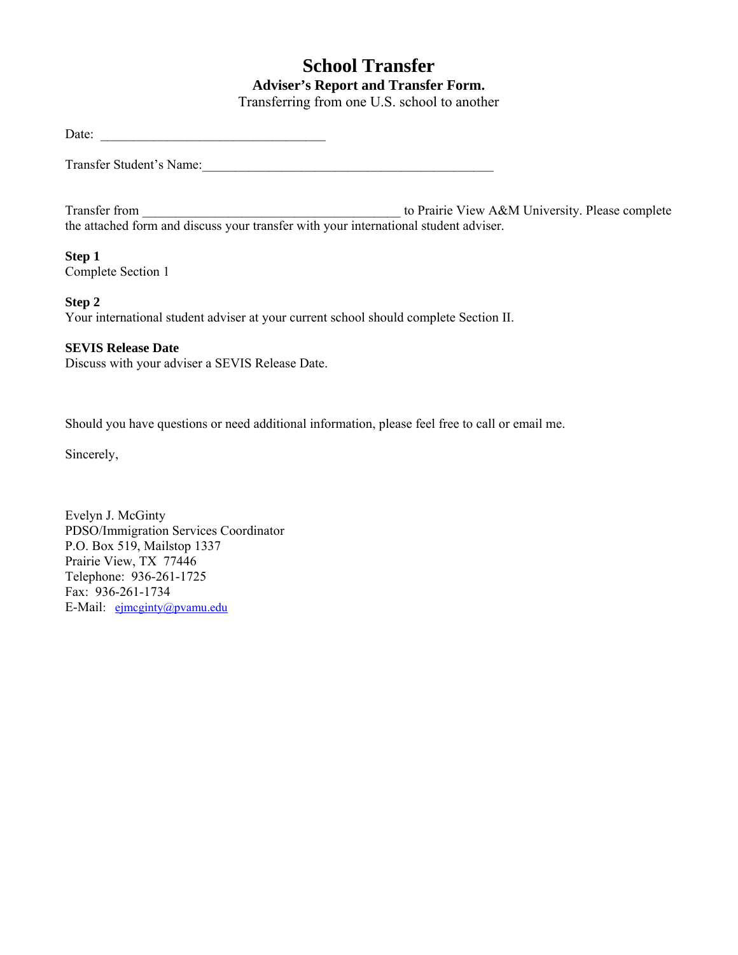# **School Transfer Adviser's Report and Transfer Form.**

Transferring from one U.S. school to another

Date:

Transfer Student's Name:

Transfer from \_\_\_\_\_\_\_\_\_\_\_\_\_\_\_\_\_\_\_\_\_\_\_\_\_\_\_\_\_\_\_\_\_\_\_\_\_\_\_ to Prairie View A&M University. Please complete Transfer from  $\frac{1}{\text{the attached form and discuss your transfer with your international student advisor.}}$ 

#### **Step 1**

Complete Section 1

#### **Step 2**

Your international student adviser at your current school should complete Section II.

#### **SEVIS Release Date**

Discuss with your adviser a SEVIS Release Date.

Should you have questions or need additional information, please feel free to call or email me.

Sincerely,

Evelyn J. McGinty PDSO/Immigration Services Coordinator P.O. Box 519, Mailstop 1337 Prairie View, TX 77446 Telephone: 936-261-1725 Fax: 936-261-1734 E-Mail: [ejmcginty@pvamu.edu](mailto:ejmcginty@pvamu.edu)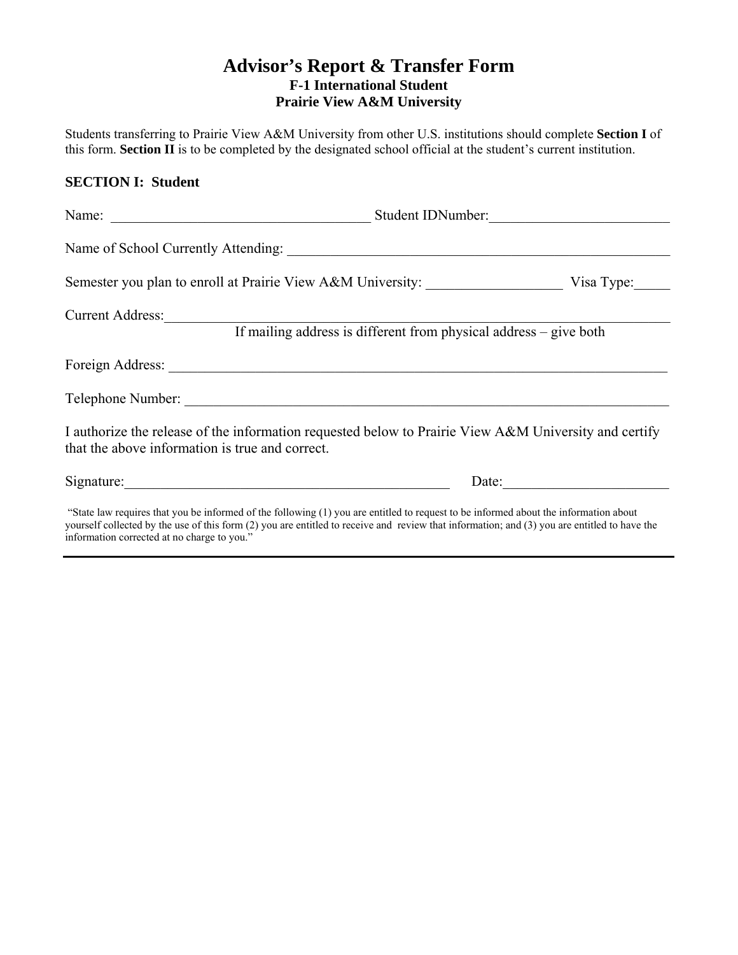### **Advisor's Report & Transfer Form F-1 International Student Prairie View A&M University**

Students transferring to Prairie View A&M University from other U.S. institutions should complete **Section I** of this form. **Section II** is to be completed by the designated school official at the student's current institution.

#### **SECTION I: Student**

|                                                 | Student IDNumber:                                                                                                                    |                       |  |
|-------------------------------------------------|--------------------------------------------------------------------------------------------------------------------------------------|-----------------------|--|
|                                                 |                                                                                                                                      |                       |  |
|                                                 | Semester you plan to enroll at Prairie View A&M University: Visa Type: Visa Type:                                                    |                       |  |
| Current Address:                                | If mailing address is different from physical address - give both                                                                    |                       |  |
|                                                 |                                                                                                                                      |                       |  |
|                                                 |                                                                                                                                      |                       |  |
| that the above information is true and correct. | I authorize the release of the information requested below to Prairie View A&M University and certify                                |                       |  |
|                                                 |                                                                                                                                      | Date: $\qquad \qquad$ |  |
|                                                 | "State law requires that you be informed of the following (1) you are entitled to request to be informed about the information about |                       |  |

 "State law requires that you be informed of the following (1) you are entitled to request to be informed about the information about yourself collected by the use of this form (2) you are entitled to receive and review that information; and (3) you are entitled to have the information corrected at no charge to you."